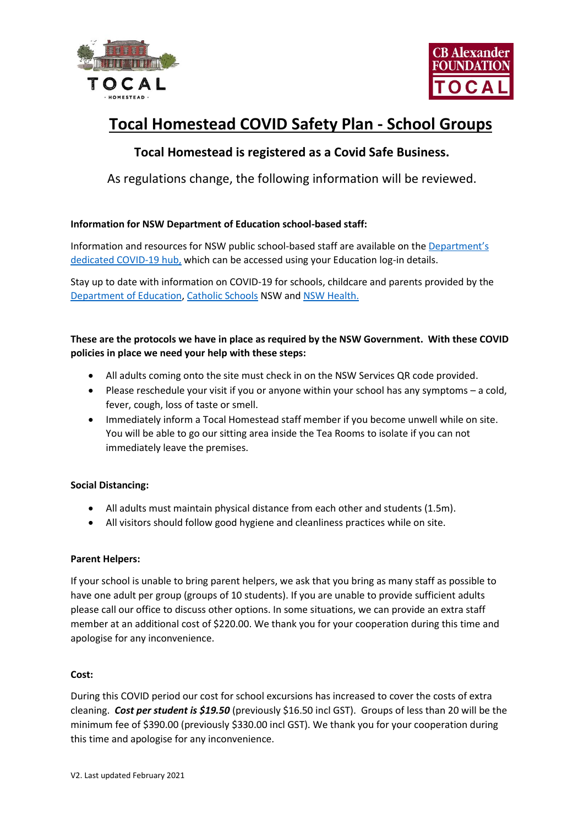



# **Tocal Homestead COVID Safety Plan - School Groups**

# **Tocal Homestead is registered as a Covid Safe Business.**

As regulations change, the following information will be reviewed.

# **Information for NSW Department of Education school-based staff:**

Information and resources for NSW public school-based staff are available on the [Department's](https://www.nsw.gov.au/admin/content/linky/8603)  [dedicated COVID-19 hub,](https://www.nsw.gov.au/admin/content/linky/8603) which can be accessed using your Education log-in details.

Stay up to date with information on COVID-19 for schools, childcare and parents provided by the [Department of Education,](https://education.nsw.gov.au/covid-19) [Catholic Schools](https://www.csnsw.catholic.edu.au/novel-coronavirus-information-updates/) NSW and [NSW Health.](https://www.health.nsw.gov.au/Infectious/covid-19/Pages/default.aspx)

# **These are the protocols we have in place as required by the NSW Government. With these COVID policies in place we need your help with these steps:**

- All adults coming onto the site must check in on the NSW Services QR code provided.
- Please reschedule your visit if you or anyone within your school has any symptoms a cold, fever, cough, loss of taste or smell.
- Immediately inform a Tocal Homestead staff member if you become unwell while on site. You will be able to go our sitting area inside the Tea Rooms to isolate if you can not immediately leave the premises.

# **Social Distancing:**

- All adults must maintain physical distance from each other and students (1.5m).
- All visitors should follow good hygiene and cleanliness practices while on site.

# **Parent Helpers:**

If your school is unable to bring parent helpers, we ask that you bring as many staff as possible to have one adult per group (groups of 10 students). If you are unable to provide sufficient adults please call our office to discuss other options. In some situations, we can provide an extra staff member at an additional cost of \$220.00. We thank you for your cooperation during this time and apologise for any inconvenience.

# **Cost:**

During this COVID period our cost for school excursions has increased to cover the costs of extra cleaning. *Cost per student is \$19.50* (previously \$16.50 incl GST). Groups of less than 20 will be the minimum fee of \$390.00 (previously \$330.00 incl GST). We thank you for your cooperation during this time and apologise for any inconvenience.